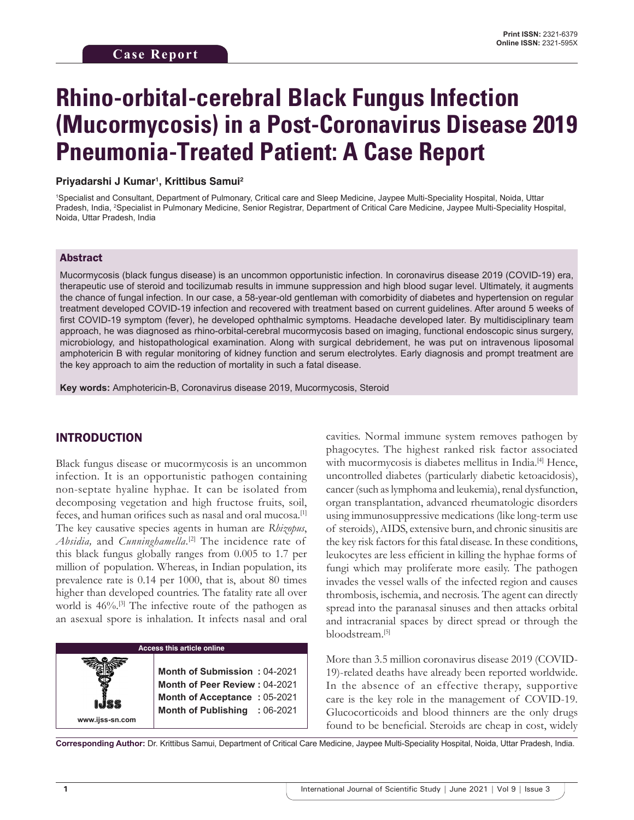# **Rhino-orbital-cerebral Black Fungus Infection (Mucormycosis) in a Post-Coronavirus Disease 2019 Pneumonia-Treated Patient: A Case Report**

#### **Priyadarshi J Kumar1 , Krittibus Samui2**

1 Specialist and Consultant, Department of Pulmonary, Critical care and Sleep Medicine, Jaypee Multi-Speciality Hospital, Noida, Uttar Pradesh, India, 2 Specialist in Pulmonary Medicine, Senior Registrar, Department of Critical Care Medicine, Jaypee Multi-Speciality Hospital, Noida, Uttar Pradesh, India

#### Abstract

Mucormycosis (black fungus disease) is an uncommon opportunistic infection. In coronavirus disease 2019 (COVID-19) era, therapeutic use of steroid and tocilizumab results in immune suppression and high blood sugar level. Ultimately, it augments the chance of fungal infection. In our case, a 58-year-old gentleman with comorbidity of diabetes and hypertension on regular treatment developed COVID-19 infection and recovered with treatment based on current guidelines. After around 5 weeks of first COVID-19 symptom (fever), he developed ophthalmic symptoms. Headache developed later. By multidisciplinary team approach, he was diagnosed as rhino-orbital-cerebral mucormycosis based on imaging, functional endoscopic sinus surgery, microbiology, and histopathological examination. Along with surgical debridement, he was put on intravenous liposomal amphotericin B with regular monitoring of kidney function and serum electrolytes. Early diagnosis and prompt treatment are the key approach to aim the reduction of mortality in such a fatal disease.

**Key words:** Amphotericin-B, Coronavirus disease 2019, Mucormycosis, Steroid

#### INTRODUCTION

Black fungus disease or mucormycosis is an uncommon infection. It is an opportunistic pathogen containing non-septate hyaline hyphae. It can be isolated from decomposing vegetation and high fructose fruits, soil, feces, and human orifices such as nasal and oral mucosa.[1] The key causative species agents in human are *Rhizopus*, Absidia, and *Cunninghamella*.<sup>[2]</sup> The incidence rate of this black fungus globally ranges from 0.005 to 1.7 per million of population. Whereas, in Indian population, its prevalence rate is 0.14 per 1000, that is, about 80 times higher than developed countries. The fatality rate all over world is  $46\%$ .<sup>[3]</sup> The infective route of the pathogen as an asexual spore is inhalation. It infects nasal and oral

**Access this article online www.ijss-sn.com Month of Submission :** 04-2021 **Month of Peer Review :** 04-2021 **Month of Acceptance :** 05-2021 **Month of Publishing :** 06-2021

cavities. Normal immune system removes pathogen by phagocytes. The highest ranked risk factor associated with mucormycosis is diabetes mellitus in India.<sup>[4]</sup> Hence, uncontrolled diabetes (particularly diabetic ketoacidosis), cancer (such as lymphoma and leukemia), renal dysfunction, organ transplantation, advanced rheumatologic disorders using immunosuppressive medications (like long-term use of steroids), AIDS, extensive burn, and chronic sinusitis are the key risk factors for this fatal disease. In these conditions, leukocytes are less efficient in killing the hyphae forms of fungi which may proliferate more easily. The pathogen invades the vessel walls of the infected region and causes thrombosis, ischemia, and necrosis. The agent can directly spread into the paranasal sinuses and then attacks orbital and intracranial spaces by direct spread or through the bloodstream.[5]

More than 3.5 million coronavirus disease 2019 (COVID-19)-related deaths have already been reported worldwide. In the absence of an effective therapy, supportive care is the key role in the management of COVID-19. Glucocorticoids and blood thinners are the only drugs found to be beneficial. Steroids are cheap in cost, widely

**Corresponding Author:** Dr. Krittibus Samui, Department of Critical Care Medicine, Jaypee Multi-Speciality Hospital, Noida, Uttar Pradesh, India.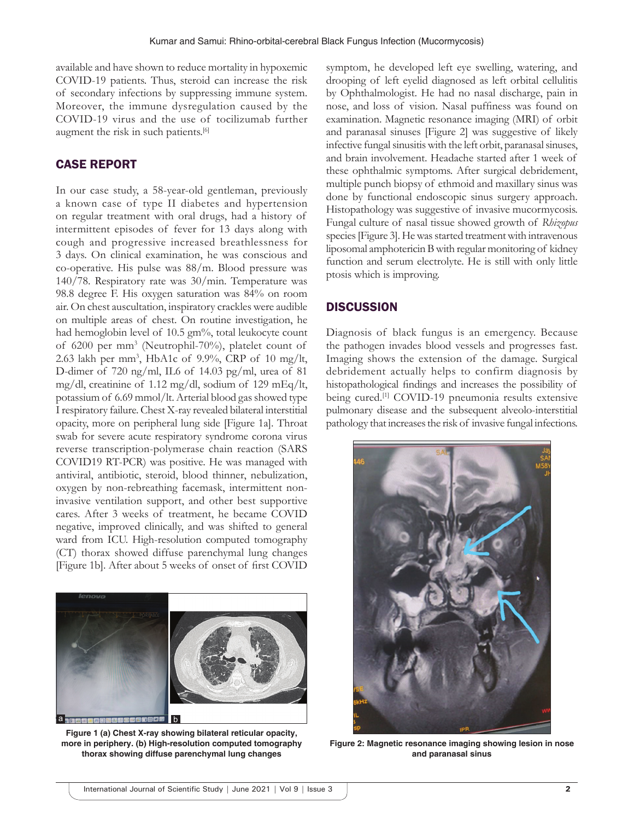available and have shown to reduce mortality in hypoxemic COVID-19 patients. Thus, steroid can increase the risk of secondary infections by suppressing immune system. Moreover, the immune dysregulation caused by the COVID-19 virus and the use of tocilizumab further augment the risk in such patients.<sup>[6]</sup>

## CASE REPORT

In our case study, a 58-year-old gentleman, previously a known case of type II diabetes and hypertension on regular treatment with oral drugs, had a history of intermittent episodes of fever for 13 days along with cough and progressive increased breathlessness for 3 days. On clinical examination, he was conscious and co-operative. His pulse was 88/m. Blood pressure was 140/78. Respiratory rate was 30/min. Temperature was 98.8 degree F. His oxygen saturation was 84% on room air. On chest auscultation, inspiratory crackles were audible on multiple areas of chest. On routine investigation, he had hemoglobin level of 10.5 gm%, total leukocyte count of 6200 per mm3 (Neutrophil-70%), platelet count of 2.63 lakh per mm3 , HbA1c of 9.9%, CRP of 10 mg/lt, D-dimer of 720 ng/ml, IL6 of 14.03 pg/ml, urea of 81 mg/dl, creatinine of 1.12 mg/dl, sodium of 129 mEq/lt, potassium of 6.69 mmol/lt. Arterial blood gas showed type I respiratory failure. Chest X-ray revealed bilateral interstitial opacity, more on peripheral lung side [Figure 1a]. Throat swab for severe acute respiratory syndrome corona virus reverse transcription-polymerase chain reaction (SARS COVID19 RT-PCR) was positive. He was managed with antiviral, antibiotic, steroid, blood thinner, nebulization, oxygen by non-rebreathing facemask, intermittent noninvasive ventilation support, and other best supportive cares. After 3 weeks of treatment, he became COVID negative, improved clinically, and was shifted to general ward from ICU. High-resolution computed tomography (CT) thorax showed diffuse parenchymal lung changes [Figure 1b]. After about 5 weeks of onset of first COVID



**Figure 1 (a) Chest X-ray showing bilateral reticular opacity, more in periphery. (b) High-resolution computed tomography thorax showing diffuse parenchymal lung changes**

symptom, he developed left eye swelling, watering, and drooping of left eyelid diagnosed as left orbital cellulitis by Ophthalmologist. He had no nasal discharge, pain in nose, and loss of vision. Nasal puffiness was found on examination. Magnetic resonance imaging (MRI) of orbit and paranasal sinuses [Figure 2] was suggestive of likely infective fungal sinusitis with the left orbit, paranasal sinuses, and brain involvement. Headache started after 1 week of these ophthalmic symptoms. After surgical debridement, multiple punch biopsy of ethmoid and maxillary sinus was done by functional endoscopic sinus surgery approach. Histopathology was suggestive of invasive mucormycosis. Fungal culture of nasal tissue showed growth of *Rhizopus* species [Figure 3]. He was started treatment with intravenous liposomal amphotericin B with regular monitoring of kidney function and serum electrolyte. He is still with only little ptosis which is improving.

### **DISCUSSION**

Diagnosis of black fungus is an emergency. Because the pathogen invades blood vessels and progresses fast. Imaging shows the extension of the damage. Surgical debridement actually helps to confirm diagnosis by histopathological findings and increases the possibility of being cured.<sup>[1]</sup> COVID-19 pneumonia results extensive pulmonary disease and the subsequent alveolo-interstitial pathology that increases the risk of invasive fungal infections.



**Figure 2: Magnetic resonance imaging showing lesion in nose and paranasal sinus**